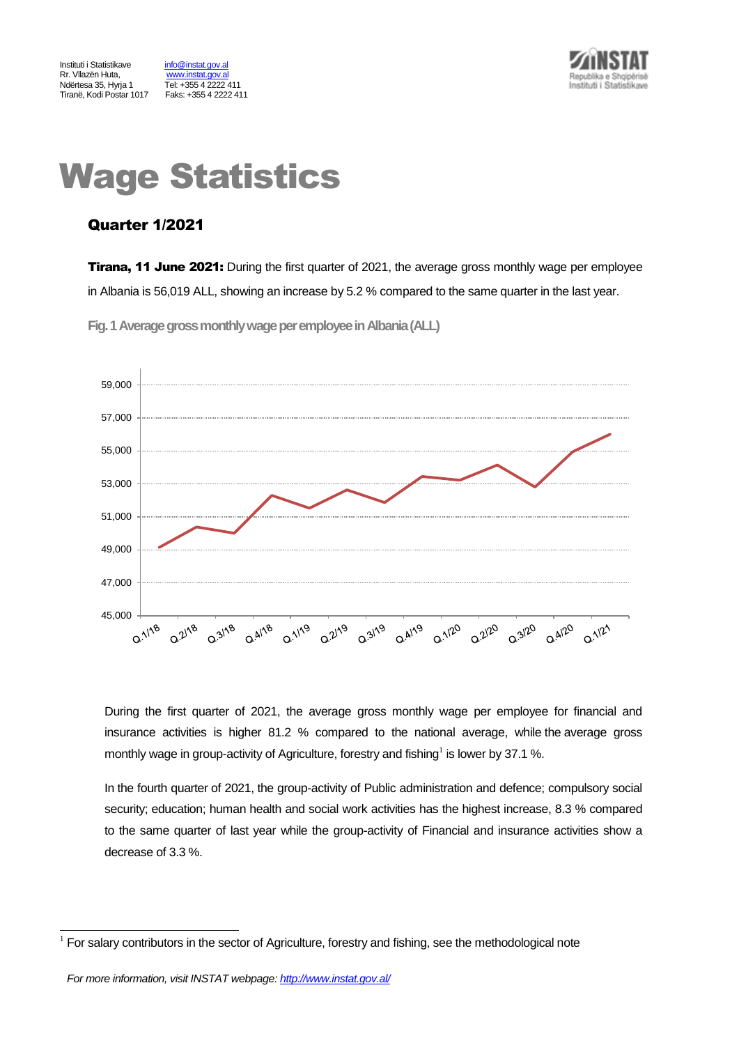Tel: +355 4 2222 411<br>Faks: +355 4 2222 411



# Wage Statistics

# Quarter 1/2021

**Tirana, 11 June 2021:** During the first quarter of 2021, the average gross monthly wage per employee in Albania is 56,019 ALL, showing an increase by 5.2 % compared to the same quarter in the last year.

**Fig.1Average gross monthly wage per employeein Albania(ALL)**



During the first quarter of 2021, the average gross monthly wage per employee for financial and insurance activities is higher 81.2 % compared to the national average, while the average gross monthly wage in group-activity of Agriculture, forestry and fishing<sup>1</sup> is lower by 37.1 %.

In the fourth quarter of 2021, the group-activity of Public administration and defence; compulsory social security; education; human health and social work activities has the highest increase, 8.3 % compared to the same quarter of last year while the group-activity of Financial and insurance activities show a decrease of 3.3 %.

l

<sup>1</sup> For salary contributors in the sector of Agriculture, forestry and fishing, see the methodological note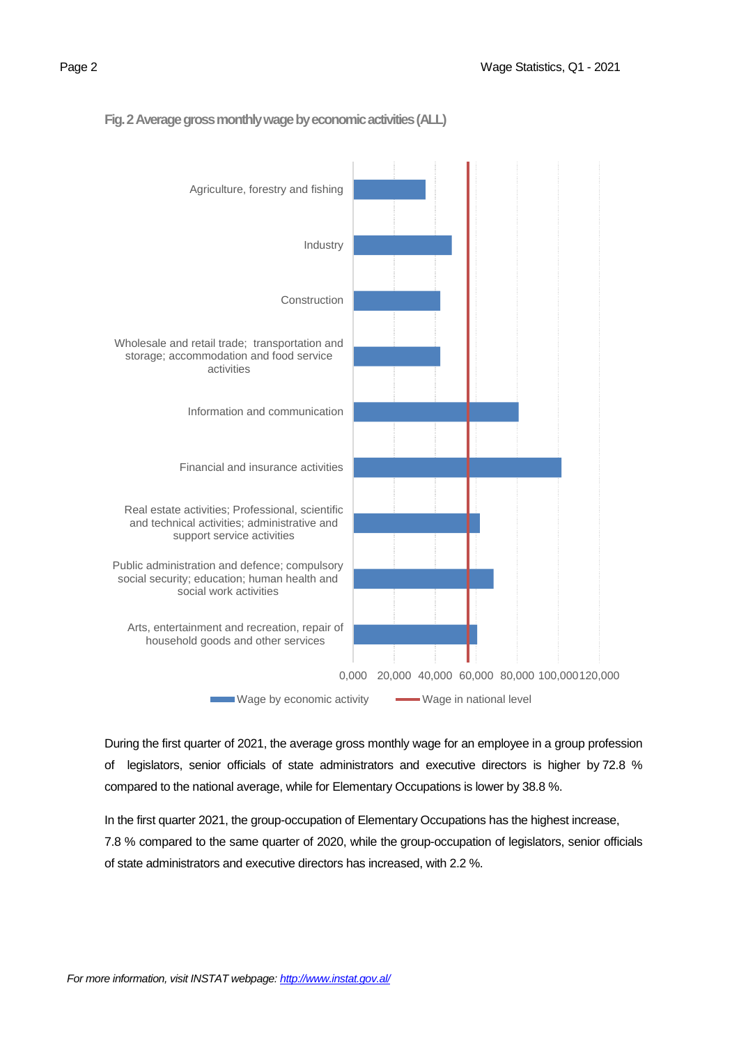

#### Fig. 2 Average gross monthly wage by economic activities (ALL)

During the first quarter of 2021, the average gross monthly wage for an employee in a group profession of legislators, senior officials of state administrators and executive directors is higher by 72.8 % compared to the national average, while for Elementary Occupations is lower by 38.8 %.

In the first quarter 2021, the group-occupation of Elementary Occupations has the highest increase, 7.8 % compared to the same quarter of 2020, while the group-occupation of legislators, senior officials of state administrators and executive directors has increased, with 2.2 %.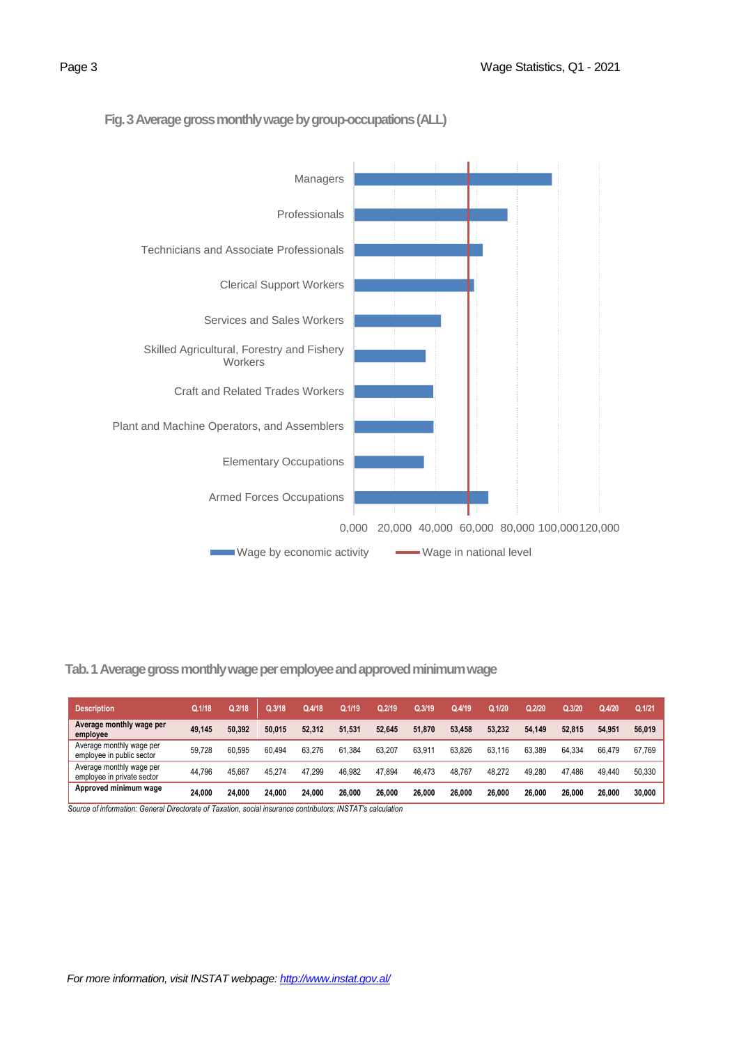

# **Fig. 3Average gross monthly wage by group-occupations(ALL)**

 **Tab. 1 Average gross monthly wage per employee and approved minimum wage** 

| <b>Description</b>                                     | Q.1/18 | Q.2/18 | Q.3/18 | Q.4/18 | Q.1/19 | Q.2/19 | Q.3/19 | Q.4/19 | Q.1/20 | Q.2/20 | Q.3/20 | Q.4/20 | Q.1/21 |
|--------------------------------------------------------|--------|--------|--------|--------|--------|--------|--------|--------|--------|--------|--------|--------|--------|
| Average monthly wage per<br>employee                   | 49.145 | 50.392 | 50.015 | 52,312 | 51.531 | 52.645 | 51.870 | 53.458 | 53.232 | 54.149 | 52.815 | 54.951 | 56,019 |
| Average monthly wage per<br>employee in public sector  | 59.728 | 60.595 | 60.494 | 63.276 | 61.384 | 63.207 | 63.911 | 63.826 | 63.116 | 63.389 | 64.334 | 66.479 | 67.769 |
| Average monthly wage per<br>employee in private sector | 44.796 | 45.667 | 45.274 | 47.299 | 46.982 | 47.894 | 46.473 | 48.767 | 48.272 | 49.280 | 47.486 | 49.440 | 50.330 |
| Approved minimum wage                                  | 24.000 | 24.000 | 24.000 | 24.000 | 26.000 | 26,000 | 26.000 | 26.000 | 26,000 | 26,000 | 26.000 | 26.000 | 30.000 |

 *Source of information: General Directorate of Taxation, social insurance contributors; INSTAT's calculation*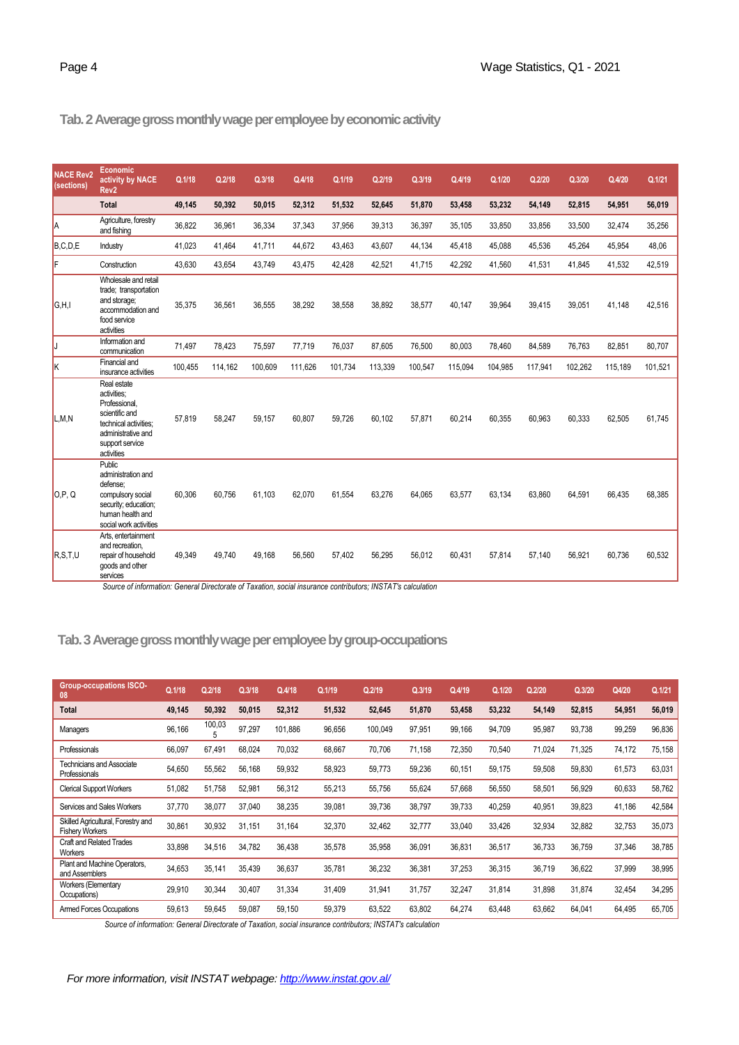# **Tab.2 Average gross monthly wage per employee by economic activity**

| <b>NACE Rev2</b><br>(sections) | Economic<br>activity by NACE<br>Rev <sub>2</sub>                                                                                              | Q.1/18  | Q.2/18  | Q.3/18  | Q.4/18  | Q.1/19  | Q.2/19  | Q.3/19  | Q.4/19  | Q.1/20  | Q.2/20  | Q.3/20  | Q.4/20  | Q.1/21  |
|--------------------------------|-----------------------------------------------------------------------------------------------------------------------------------------------|---------|---------|---------|---------|---------|---------|---------|---------|---------|---------|---------|---------|---------|
|                                | <b>Total</b>                                                                                                                                  | 49,145  | 50,392  | 50,015  | 52.312  | 51,532  | 52,645  | 51.870  | 53,458  | 53,232  | 54,149  | 52,815  | 54,951  | 56,019  |
| la                             | Agriculture, forestry<br>and fishing                                                                                                          | 36.822  | 36,961  | 36,334  | 37,343  | 37,956  | 39,313  | 36,397  | 35,105  | 33,850  | 33,856  | 33,500  | 32,474  | 35,256  |
| B, C, D, E                     | Industry                                                                                                                                      | 41.023  | 41.464  | 41,711  | 44.672  | 43.463  | 43,607  | 44,134  | 45,418  | 45,088  | 45,536  | 45,264  | 45,954  | 48,06   |
| F                              | Construction                                                                                                                                  | 43,630  | 43,654  | 43,749  | 43,475  | 42,428  | 42,521  | 41,715  | 42,292  | 41,560  | 41,531  | 41,845  | 41,532  | 42,519  |
| G,H,I                          | Wholesale and retail<br>trade; transportation<br>and storage;<br>accommodation and<br>food service<br>activities                              | 35.375  | 36.561  | 36.555  | 38.292  | 38.558  | 38.892  | 38.577  | 40.147  | 39.964  | 39.415  | 39.051  | 41.148  | 42,516  |
| IJ                             | Information and<br>communication                                                                                                              | 71.497  | 78.423  | 75,597  | 77,719  | 76.037  | 87.605  | 76.500  | 80.003  | 78.460  | 84,589  | 76,763  | 82.851  | 80,707  |
| Ιĸ                             | Financial and<br>insurance activities                                                                                                         | 100,455 | 114,162 | 100,609 | 111,626 | 101,734 | 113,339 | 100,547 | 115,094 | 104,985 | 117,941 | 102,262 | 115,189 | 101,521 |
| L,M,N                          | Real estate<br>activities:<br>Professional,<br>scientific and<br>technical activities;<br>administrative and<br>support service<br>activities | 57.819  | 58,247  | 59,157  | 60,807  | 59,726  | 60,102  | 57.871  | 60,214  | 60,355  | 60,963  | 60,333  | 62,505  | 61,745  |
| O.P. Q                         | Public<br>administration and<br>defense:<br>compulsory social<br>security; education;<br>human health and<br>social work activities           | 60,306  | 60,756  | 61,103  | 62,070  | 61,554  | 63,276  | 64,065  | 63,577  | 63,134  | 63,860  | 64,591  | 66,435  | 68,385  |
| R.S.T.U                        | Arts, entertainment<br>and recreation.<br>repair of household<br>goods and other<br>services                                                  | 49,349  | 49,740  | 49,168  | 56,560  | 57,402  | 56,295  | 56,012  | 60,431  | 57,814  | 57,140  | 56,921  | 60,736  | 60,532  |

*Source of information: General Directorate of Taxation, social insurance contributors; INSTAT's calculation*

# **Tab.3Average gross monthly wage per employee by group-occupations**

| <b>Group-occupations ISCO-</b><br>08                         | Q.1/18 | Q.2/18      | Q.3/18 | Q.4/18  | Q.1/19 | Q.2/19  | Q.3/19 | Q.4/19 | Q.1/20 | Q.2/20 | Q.3/20 | Q4/20  | Q.1/21 |
|--------------------------------------------------------------|--------|-------------|--------|---------|--------|---------|--------|--------|--------|--------|--------|--------|--------|
| <b>Total</b>                                                 | 49,145 | 50,392      | 50,015 | 52,312  | 51,532 | 52,645  | 51,870 | 53,458 | 53,232 | 54,149 | 52,815 | 54,951 | 56,019 |
| Managers                                                     | 96,166 | 100,03<br>5 | 97,297 | 101,886 | 96,656 | 100,049 | 97,951 | 99,166 | 94,709 | 95,987 | 93,738 | 99,259 | 96,836 |
| Professionals                                                | 66,097 | 67.491      | 68,024 | 70,032  | 68,667 | 70,706  | 71,158 | 72,350 | 70,540 | 71,024 | 71,325 | 74,172 | 75,158 |
| <b>Technicians and Associate</b><br>Professionals            | 54,650 | 55,562      | 56,168 | 59,932  | 58,923 | 59,773  | 59,236 | 60,151 | 59,175 | 59,508 | 59,830 | 61,573 | 63,031 |
| <b>Clerical Support Workers</b>                              | 51,082 | 51.758      | 52,981 | 56,312  | 55,213 | 55,756  | 55,624 | 57,668 | 56,550 | 58,501 | 56,929 | 60,633 | 58,762 |
| Services and Sales Workers                                   | 37,770 | 38,077      | 37,040 | 38,235  | 39,081 | 39,736  | 38,797 | 39,733 | 40,259 | 40,951 | 39,823 | 41,186 | 42,584 |
| Skilled Agricultural, Forestry and<br><b>Fishery Workers</b> | 30,861 | 30,932      | 31,151 | 31,164  | 32,370 | 32,462  | 32,777 | 33,040 | 33.426 | 32,934 | 32,882 | 32,753 | 35,073 |
| Craft and Related Trades<br><b>Workers</b>                   | 33,898 | 34,516      | 34,782 | 36,438  | 35,578 | 35,958  | 36,091 | 36,831 | 36,517 | 36,733 | 36,759 | 37,346 | 38,785 |
| Plant and Machine Operators,<br>and Assemblers               | 34,653 | 35,141      | 35,439 | 36,637  | 35,781 | 36,232  | 36,381 | 37,253 | 36,315 | 36,719 | 36,622 | 37,999 | 38,995 |
| Workers (Elementary<br>Occupations)                          | 29,910 | 30,344      | 30,407 | 31,334  | 31,409 | 31,941  | 31,757 | 32,247 | 31,814 | 31,898 | 31,874 | 32,454 | 34,295 |
| Armed Forces Occupations                                     | 59,613 | 59,645      | 59,087 | 59,150  | 59,379 | 63,522  | 63,802 | 64,274 | 63.448 | 63,662 | 64,041 | 64,495 | 65,705 |

*Source of information: General Directorate of Taxation, social insurance contributors; INSTAT's calculation*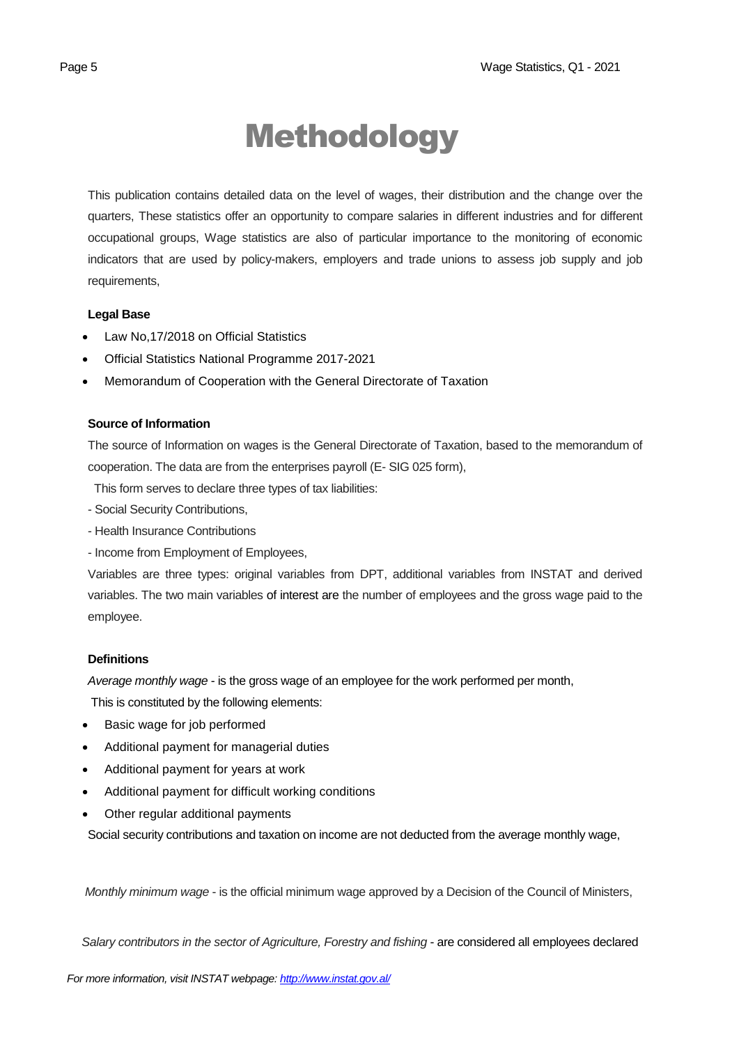# Methodology

This publication contains detailed data on the level of wages, their distribution and the change over the quarters, These statistics offer an opportunity to compare salaries in different industries and for different occupational groups, Wage statistics are also of particular importance to the monitoring of economic indicators that are used by policy-makers, employers and trade unions to assess job supply and job requirements,

## **Legal Base**

- [Law No,17/2018 on Official Statistics](http://instat.gov.al/media/3972/law-no17-2018-on-official-statistics.pdf)
- Official Statistics National Programme 2017-2021
- Memorandum of Cooperation with the General Directorate of Taxation

## **Source of Information**

The source of Information on wages is the General Directorate of Taxation, based to the memorandum of cooperation. The data are from the enterprises payroll (E- SIG 025 form),

This form serves to declare three types of tax liabilities:

- Social Security Contributions,
- Health Insurance Contributions
- Income from Employment of Employees,

Variables are three types: original variables from DPT, additional variables from INSTAT and derived variables. The two main variables of interest are the number of employees and the gross wage paid to the employee.

## **Definitions**

*Average monthly wage* - is the gross wage of an employee for the work performed per month,

This is constituted by the following elements:

- Basic wage for job performed
- Additional payment for managerial duties
- Additional payment for years at work
- Additional payment for difficult working conditions
- Other regular additional payments

Social security contributions and taxation on income are not deducted from the average monthly wage,

*Monthly minimum wage* - is the official minimum wage approved by a Decision of the Council of Ministers,

 *Salary contributors in the sector of Agriculture, Forestry and fishing* - are considered all employees declared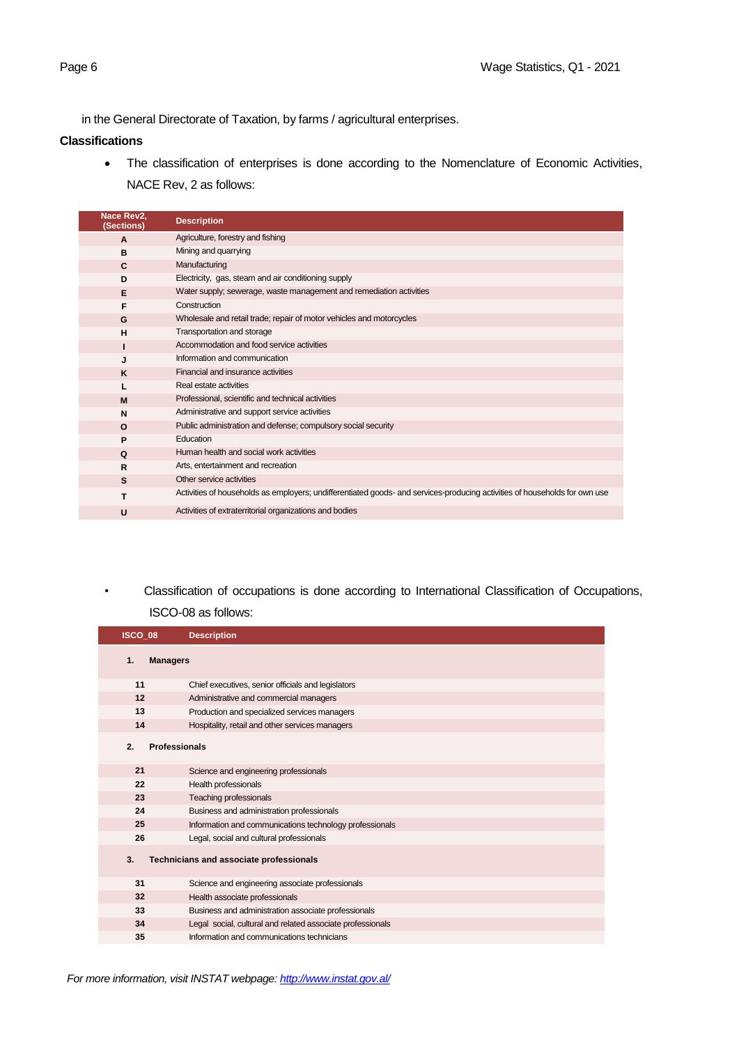in the General Directorate of Taxation, by farms / agricultural enterprises.

#### **Classifications**

• The classification of enterprises is done according to the Nomenclature of Economic Activities, NACE Rev, 2 as follows:

| Nace Rev2,<br>(Sections) | <b>Description</b>                                                                                                         |
|--------------------------|----------------------------------------------------------------------------------------------------------------------------|
| $\mathbf{A}$             | Agriculture, forestry and fishing                                                                                          |
| B                        | Mining and quarrying                                                                                                       |
| $\mathbf{C}$             | Manufacturing                                                                                                              |
| D                        | Electricity, gas, steam and air conditioning supply                                                                        |
| E                        | Water supply; sewerage, waste management and remediation activities                                                        |
| F                        | Construction                                                                                                               |
| G                        | Wholesale and retail trade; repair of motor vehicles and motorcycles                                                       |
| H                        | Transportation and storage                                                                                                 |
|                          | Accommodation and food service activities                                                                                  |
| J                        | Information and communication                                                                                              |
| K                        | Financial and insurance activities                                                                                         |
|                          | Real estate activities                                                                                                     |
| M                        | Professional, scientific and technical activities                                                                          |
| N                        | Administrative and support service activities                                                                              |
| $\Omega$                 | Public administration and defense; compulsory social security                                                              |
| P                        | Education                                                                                                                  |
| $\Omega$                 | Human health and social work activities                                                                                    |
| R                        | Arts, entertainment and recreation                                                                                         |
| S                        | Other service activities                                                                                                   |
| т                        | Activities of households as employers; undifferentiated goods- and services-producing activities of households for own use |
| U                        | Activities of extraterritorial organizations and bodies                                                                    |

*•* Classification of occupations is done according to International Classification of Occupations, ISCO-08 as follows:

| ISCO 08                    | <b>Description</b>                                         |
|----------------------------|------------------------------------------------------------|
| <b>Managers</b><br>1.      |                                                            |
| 11                         | Chief executives, senior officials and legislators         |
| 12                         | Administrative and commercial managers                     |
| 13                         | Production and specialized services managers               |
| 14                         | Hospitality, retail and other services managers            |
| <b>Professionals</b><br>2. |                                                            |
| 21                         | Science and engineering professionals                      |
| 22                         | Health professionals                                       |
| 23                         | Teaching professionals                                     |
| 24                         | Business and administration professionals                  |
| 25                         | Information and communications technology professionals    |
| 26                         | Legal, social and cultural professionals                   |
| 3.                         | Technicians and associate professionals                    |
| 31                         | Science and engineering associate professionals            |
| 32                         | Health associate professionals                             |
| 33                         | Business and administration associate professionals        |
| 34                         | Legal social, cultural and related associate professionals |
| 35                         | Information and communications technicians                 |